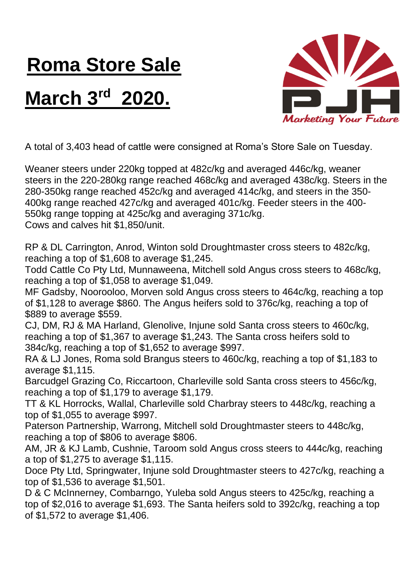## **Roma Store Sale**

## **March 3rd 2020.**



A total of 3,403 head of cattle were consigned at Roma's Store Sale on Tuesday.

Weaner steers under 220kg topped at 482c/kg and averaged 446c/kg, weaner steers in the 220-280kg range reached 468c/kg and averaged 438c/kg. Steers in the 280-350kg range reached 452c/kg and averaged 414c/kg, and steers in the 350- 400kg range reached 427c/kg and averaged 401c/kg. Feeder steers in the 400- 550kg range topping at 425c/kg and averaging 371c/kg. Cows and calves hit \$1,850/unit.

RP & DL Carrington, Anrod, Winton sold Droughtmaster cross steers to 482c/kg, reaching a top of \$1,608 to average \$1,245.

Todd Cattle Co Pty Ltd, Munnaweena, Mitchell sold Angus cross steers to 468c/kg, reaching a top of \$1,058 to average \$1,049.

MF Gadsby, Noorooloo, Morven sold Angus cross steers to 464c/kg, reaching a top of \$1,128 to average \$860. The Angus heifers sold to 376c/kg, reaching a top of \$889 to average \$559.

CJ, DM, RJ & MA Harland, Glenolive, Injune sold Santa cross steers to 460c/kg, reaching a top of \$1,367 to average \$1,243. The Santa cross heifers sold to 384c/kg, reaching a top of \$1,652 to average \$997.

RA & LJ Jones, Roma sold Brangus steers to 460c/kg, reaching a top of \$1,183 to average \$1,115.

Barcudgel Grazing Co, Riccartoon, Charleville sold Santa cross steers to 456c/kg, reaching a top of \$1,179 to average \$1,179.

TT & KL Horrocks, Wallal, Charleville sold Charbray steers to 448c/kg, reaching a top of \$1,055 to average \$997.

Paterson Partnership, Warrong, Mitchell sold Droughtmaster steers to 448c/kg, reaching a top of \$806 to average \$806.

AM, JR & KJ Lamb, Cushnie, Taroom sold Angus cross steers to 444c/kg, reaching a top of \$1,275 to average \$1,115.

Doce Pty Ltd, Springwater, Injune sold Droughtmaster steers to 427c/kg, reaching a top of \$1,536 to average \$1,501.

D & C McInnerney, Combarngo, Yuleba sold Angus steers to 425c/kg, reaching a top of \$2,016 to average \$1,693. The Santa heifers sold to 392c/kg, reaching a top of \$1,572 to average \$1,406.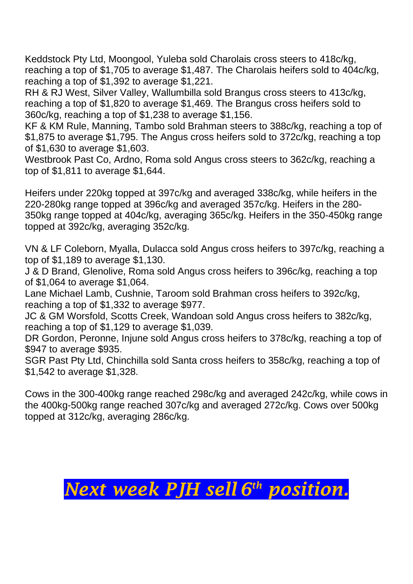Keddstock Pty Ltd, Moongool, Yuleba sold Charolais cross steers to 418c/kg, reaching a top of \$1,705 to average \$1,487. The Charolais heifers sold to 404c/kg, reaching a top of \$1,392 to average \$1,221.

RH & RJ West, Silver Valley, Wallumbilla sold Brangus cross steers to 413c/kg, reaching a top of \$1,820 to average \$1,469. The Brangus cross heifers sold to 360c/kg, reaching a top of \$1,238 to average \$1,156.

KF & KM Rule, Manning, Tambo sold Brahman steers to 388c/kg, reaching a top of \$1,875 to average \$1,795. The Angus cross heifers sold to 372c/kg, reaching a top of \$1,630 to average \$1,603.

Westbrook Past Co, Ardno, Roma sold Angus cross steers to 362c/kg, reaching a top of \$1,811 to average \$1,644.

Heifers under 220kg topped at 397c/kg and averaged 338c/kg, while heifers in the 220-280kg range topped at 396c/kg and averaged 357c/kg. Heifers in the 280- 350kg range topped at 404c/kg, averaging 365c/kg. Heifers in the 350-450kg range topped at 392c/kg, averaging 352c/kg.

VN & LF Coleborn, Myalla, Dulacca sold Angus cross heifers to 397c/kg, reaching a top of \$1,189 to average \$1,130.

J & D Brand, Glenolive, Roma sold Angus cross heifers to 396c/kg, reaching a top of \$1,064 to average \$1,064.

Lane Michael Lamb, Cushnie, Taroom sold Brahman cross heifers to 392c/kg, reaching a top of \$1,332 to average \$977.

JC & GM Worsfold, Scotts Creek, Wandoan sold Angus cross heifers to 382c/kg, reaching a top of \$1,129 to average \$1,039.

DR Gordon, Peronne, Injune sold Angus cross heifers to 378c/kg, reaching a top of \$947 to average \$935.

SGR Past Pty Ltd, Chinchilla sold Santa cross heifers to 358c/kg, reaching a top of \$1,542 to average \$1,328.

Cows in the 300-400kg range reached 298c/kg and averaged 242c/kg, while cows in the 400kg-500kg range reached 307c/kg and averaged 272c/kg. Cows over 500kg topped at 312c/kg, averaging 286c/kg.